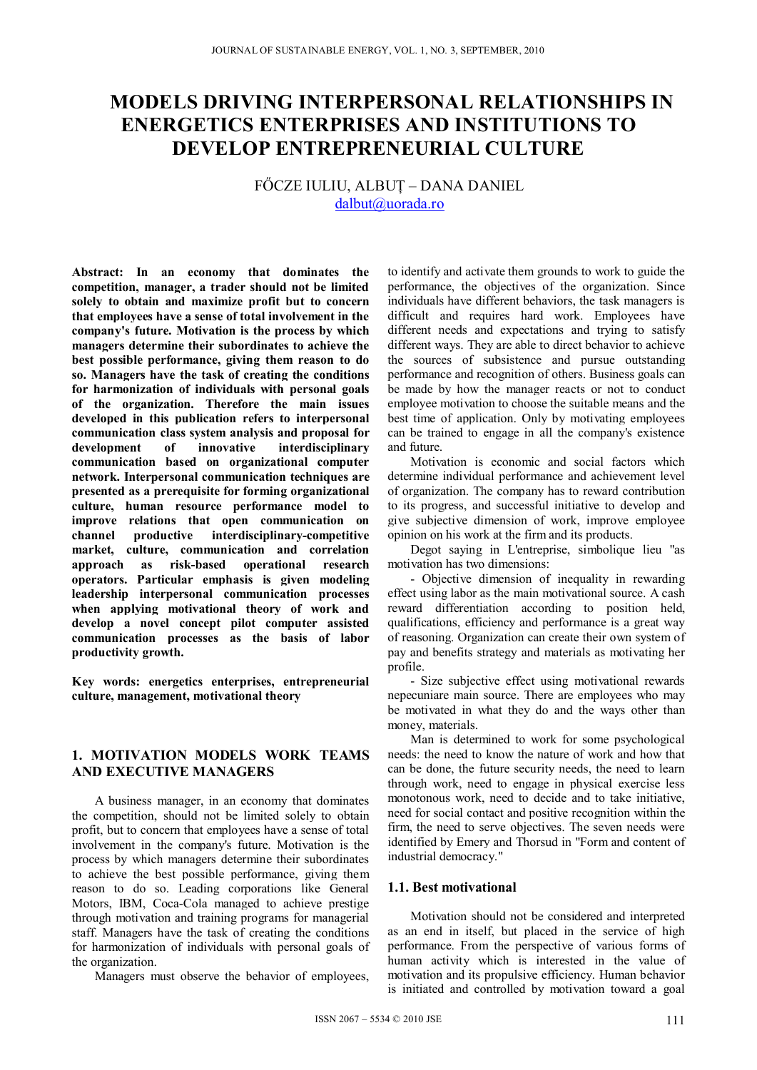# **MODELS DRIVING INTERPERSONAL RELATIONSHIPS IN ENERGETICS ENTERPRISES AND INSTITUTIONS TO DEVELOP ENTREPRENEURIAL CULTURE**

FŐCZE IULIU, ALBUŢ – DANA DANIEL dalbut@uorada.ro

**Abstract: In an economy that dominates the competition, manager, a trader should not be limited solely to obtain and maximize profit but to concern that employees have a sense of total involvement in the company's future. Motivation is the process by which managers determine their subordinates to achieve the best possible performance, giving them reason to do so. Managers have the task of creating the conditions for harmonization of individuals with personal goals of the organization. Therefore the main issues developed in this publication refers to interpersonal communication class system analysis and proposal for development** of **innovative interdisciplinary development of innovative interdisciplinary communication based on organizational computer network. Interpersonal communication techniques are presented as a prerequisite for forming organizational culture, human resource performance model to improve relations that open communication on channel productive interdisciplinary-competitive market, culture, communication and correlation approach as risk-based operational research operators. Particular emphasis is given modeling leadership interpersonal communication processes when applying motivational theory of work and develop a novel concept pilot computer assisted communication processes as the basis of labor productivity growth.** 

**Key words: energetics enterprises, entrepreneurial culture, management, motivational theory** 

## **1. MOTIVATION MODELS WORK TEAMS AND EXECUTIVE MANAGERS**

A business manager, in an economy that dominates the competition, should not be limited solely to obtain profit, but to concern that employees have a sense of total involvement in the company's future. Motivation is the process by which managers determine their subordinates to achieve the best possible performance, giving them reason to do so. Leading corporations like General Motors, IBM, Coca-Cola managed to achieve prestige through motivation and training programs for managerial staff. Managers have the task of creating the conditions for harmonization of individuals with personal goals of the organization.

Managers must observe the behavior of employees,

to identify and activate them grounds to work to guide the performance, the objectives of the organization. Since individuals have different behaviors, the task managers is difficult and requires hard work. Employees have different needs and expectations and trying to satisfy different ways. They are able to direct behavior to achieve the sources of subsistence and pursue outstanding performance and recognition of others. Business goals can be made by how the manager reacts or not to conduct employee motivation to choose the suitable means and the best time of application. Only by motivating employees can be trained to engage in all the company's existence and future.

Motivation is economic and social factors which determine individual performance and achievement level of organization. The company has to reward contribution to its progress, and successful initiative to develop and give subjective dimension of work, improve employee opinion on his work at the firm and its products.

Degot saying in L'entreprise, simbolique lieu "as motivation has two dimensions:

- Objective dimension of inequality in rewarding effect using labor as the main motivational source. A cash reward differentiation according to position held, qualifications, efficiency and performance is a great way of reasoning. Organization can create their own system of pay and benefits strategy and materials as motivating her profile.

- Size subjective effect using motivational rewards nepecuniare main source. There are employees who may be motivated in what they do and the ways other than money, materials.

Man is determined to work for some psychological needs: the need to know the nature of work and how that can be done, the future security needs, the need to learn through work, need to engage in physical exercise less monotonous work, need to decide and to take initiative, need for social contact and positive recognition within the firm, the need to serve objectives. The seven needs were identified by Emery and Thorsud in "Form and content of industrial democracy."

#### **1.1. Best motivational**

Motivation should not be considered and interpreted as an end in itself, but placed in the service of high performance. From the perspective of various forms of human activity which is interested in the value of motivation and its propulsive efficiency. Human behavior is initiated and controlled by motivation toward a goal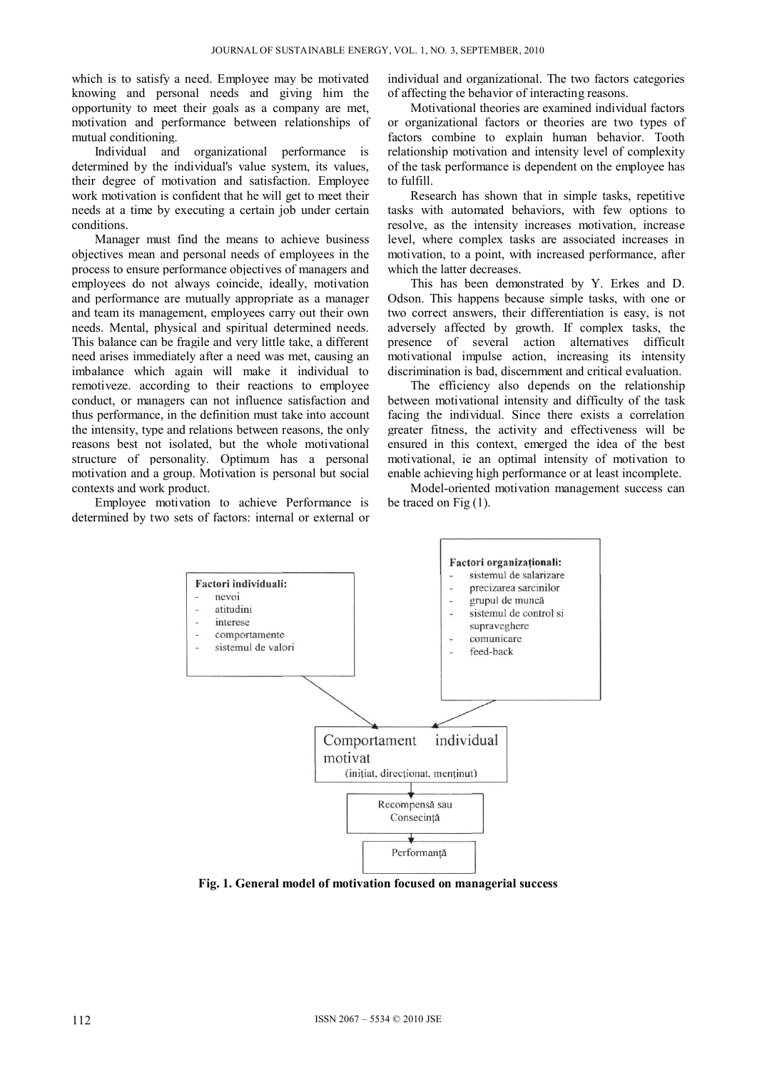which is to satisfy a need. Employee may be motivated knowing and personal needs and giving him the opportunity to meet their goals as a company are met, motivation and performance between relationships of mutual conditioning.

Individual and organizational performance is determined by the individual's value system, its values, their degree of motivation and satisfaction. Employee work motivation is confident that he will get to meet their needs at a time by executing a certain job under certain conditions.

Manager must find the means to achieve business objectives mean and personal needs of employees in the process to ensure performance objectives of managers and employees do not always coincide, ideally, motivation and performance are mutually appropriate as a manager and team its management, employees carry out their own needs. Mental, physical and spiritual determined needs. This balance can be fragile and very little take, a different need arises immediately after a need was met, causing an imbalance which again will make it individual to remotiveze. according to their reactions to employee conduct, or managers can not influence satisfaction and thus performance, in the definition must take into account the intensity, type and relations between reasons, the only reasons best not isolated, but the whole motivational structure of personality. Optimum has a personal motivation and a group. Motivation is personal but social contexts and work product.

Employee motivation to achieve Performance is determined by two sets of factors: internal or external or individual and organizational. The two factors categories of affecting the behavior of interacting reasons.

Motivational theories are examined individual factors or organizational factors or theories are two types of factors combine to explain human behavior. Tooth relationship motivation and intensity level of complexity of the task performance is dependent on the employee has to fulfill.

Research has shown that in simple tasks, repetitive tasks with automated behaviors, with few options to resolve, as the intensity increases motivation, increase level, where complex tasks are associated increases in motivation, to a point, with increased performance, after which the latter decreases.

This has been demonstrated by Y. Erkes and D. Odson. This happens because simple tasks, with one or two correct answers, their differentiation is easy, is not adversely affected by growth. If complex tasks, the presence of several action alternatives difficult motivational impulse action, increasing its intensity discrimination is bad, discernment and critical evaluation.

The efficiency also depends on the relationship between motivational intensity and difficulty of the task facing the individual. Since there exists a correlation greater fitness, the activity and effectiveness will be ensured in this context, emerged the idea of the best motivational, ie an optimal intensity of motivation to enable achieving high performance or at least incomplete.

Model-oriented motivation management success can be traced on Fig (1).



**Fig. 1. General model of motivation focused on managerial success**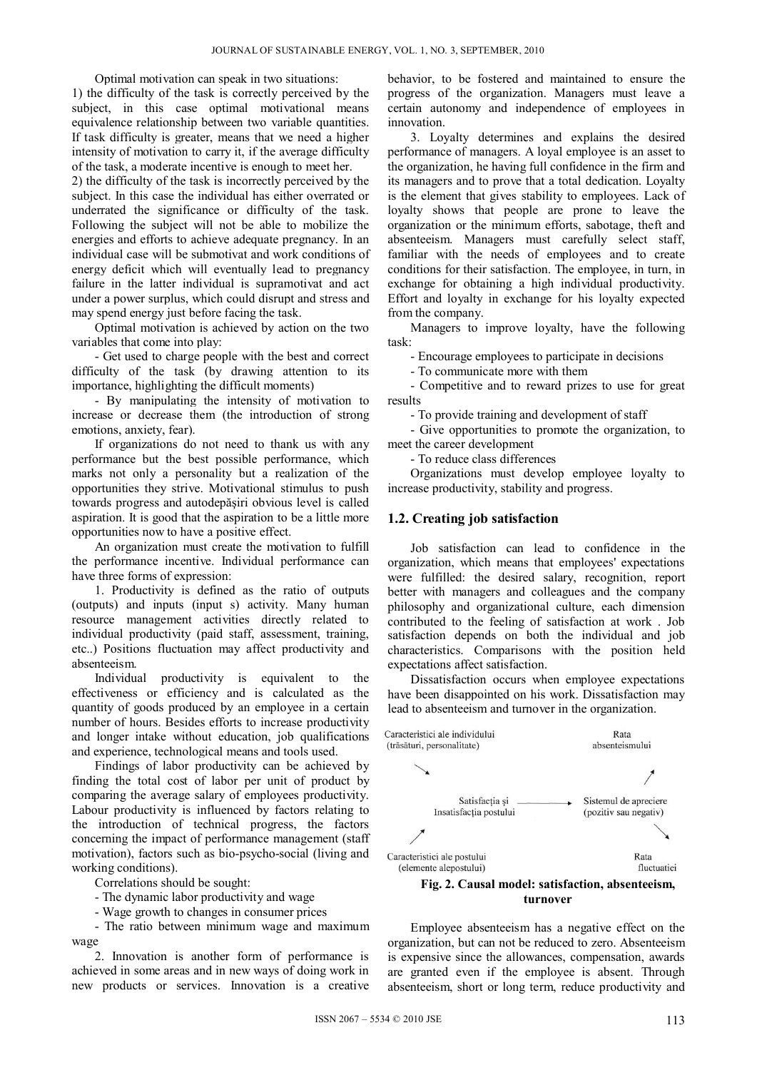Optimal motivation can speak in two situations:

1) the difficulty of the task is correctly perceived by the subject, in this case optimal motivational means equivalence relationship between two variable quantities. If task difficulty is greater, means that we need a higher intensity of motivation to carry it, if the average difficulty of the task, a moderate incentive is enough to meet her.

2) the difficulty of the task is incorrectly perceived by the subject. In this case the individual has either overrated or underrated the significance or difficulty of the task. Following the subject will not be able to mobilize the energies and efforts to achieve adequate pregnancy. In an individual case will be submotivat and work conditions of energy deficit which will eventually lead to pregnancy failure in the latter individual is supramotivat and act under a power surplus, which could disrupt and stress and may spend energy just before facing the task.

Optimal motivation is achieved by action on the two variables that come into play:

- Get used to charge people with the best and correct difficulty of the task (by drawing attention to its importance, highlighting the difficult moments)

- By manipulating the intensity of motivation to increase or decrease them (the introduction of strong emotions, anxiety, fear).

If organizations do not need to thank us with any performance but the best possible performance, which marks not only a personality but a realization of the opportunities they strive. Motivational stimulus to push towards progress and autodepăşiri obvious level is called aspiration. It is good that the aspiration to be a little more opportunities now to have a positive effect.

An organization must create the motivation to fulfill the performance incentive. Individual performance can have three forms of expression:

1. Productivity is defined as the ratio of outputs (outputs) and inputs (input s) activity. Many human resource management activities directly related to individual productivity (paid staff, assessment, training, etc..) Positions fluctuation may affect productivity and absenteeism.

Individual productivity is equivalent to the effectiveness or efficiency and is calculated as the quantity of goods produced by an employee in a certain number of hours. Besides efforts to increase productivity and longer intake without education, job qualifications and experience, technological means and tools used.

Findings of labor productivity can be achieved by finding the total cost of labor per unit of product by comparing the average salary of employees productivity. Labour productivity is influenced by factors relating to the introduction of technical progress, the factors concerning the impact of performance management (staff motivation), factors such as bio-psycho-social (living and working conditions).

Correlations should be sought:

- The dynamic labor productivity and wage
- Wage growth to changes in consumer prices

- The ratio between minimum wage and maximum wage

2. Innovation is another form of performance is achieved in some areas and in new ways of doing work in new products or services. Innovation is a creative behavior, to be fostered and maintained to ensure the progress of the organization. Managers must leave a certain autonomy and independence of employees in innovation.

3. Loyalty determines and explains the desired performance of managers. A loyal employee is an asset to the organization, he having full confidence in the firm and its managers and to prove that a total dedication. Loyalty is the element that gives stability to employees. Lack of loyalty shows that people are prone to leave the organization or the minimum efforts, sabotage, theft and absenteeism. Managers must carefully select staff, familiar with the needs of employees and to create conditions for their satisfaction. The employee, in turn, in exchange for obtaining a high individual productivity. Effort and loyalty in exchange for his loyalty expected from the company.

Managers to improve loyalty, have the following task:

- Encourage employees to participate in decisions

- To communicate more with them

- Competitive and to reward prizes to use for great results

- To provide training and development of staff

- Give opportunities to promote the organization, to meet the career development

- To reduce class differences

Organizations must develop employee loyalty to increase productivity, stability and progress.

#### **1.2. Creating job satisfaction**

Job satisfaction can lead to confidence in the organization, which means that employees' expectations were fulfilled: the desired salary, recognition, report better with managers and colleagues and the company philosophy and organizational culture, each dimension contributed to the feeling of satisfaction at work . Job satisfaction depends on both the individual and job characteristics. Comparisons with the position held expectations affect satisfaction.

Dissatisfaction occurs when employee expectations have been disappointed on his work. Dissatisfaction may lead to absenteeism and turnover in the organization.



**turnover** 

Employee absenteeism has a negative effect on the organization, but can not be reduced to zero. Absenteeism is expensive since the allowances, compensation, awards are granted even if the employee is absent. Through absenteeism, short or long term, reduce productivity and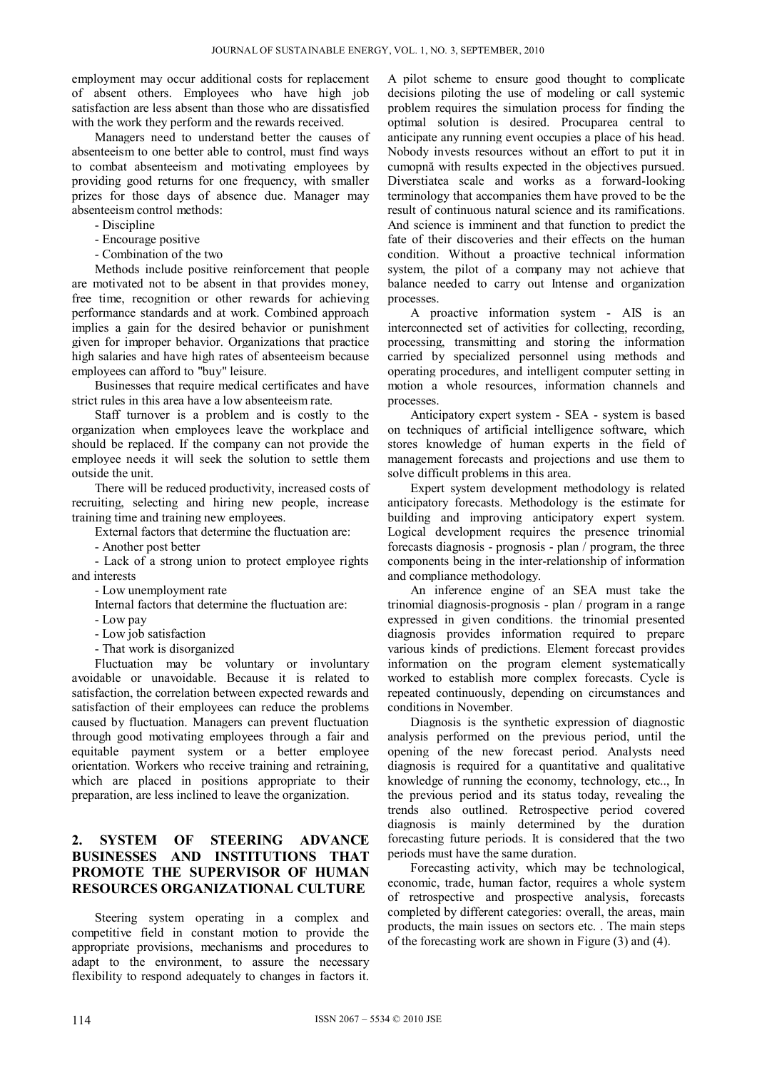employment may occur additional costs for replacement of absent others. Employees who have high job satisfaction are less absent than those who are dissatisfied with the work they perform and the rewards received.

Managers need to understand better the causes of absenteeism to one better able to control, must find ways to combat absenteeism and motivating employees by providing good returns for one frequency, with smaller prizes for those days of absence due. Manager may absenteeism control methods:

- Discipline
- Encourage positive
- Combination of the two

Methods include positive reinforcement that people are motivated not to be absent in that provides money, free time, recognition or other rewards for achieving performance standards and at work. Combined approach implies a gain for the desired behavior or punishment given for improper behavior. Organizations that practice high salaries and have high rates of absenteeism because employees can afford to "buy" leisure.

Businesses that require medical certificates and have strict rules in this area have a low absenteeism rate.

Staff turnover is a problem and is costly to the organization when employees leave the workplace and should be replaced. If the company can not provide the employee needs it will seek the solution to settle them outside the unit.

There will be reduced productivity, increased costs of recruiting, selecting and hiring new people, increase training time and training new employees.

External factors that determine the fluctuation are:

- Another post better

- Lack of a strong union to protect employee rights and interests

- Low unemployment rate

Internal factors that determine the fluctuation are:

- Low pay

- Low job satisfaction

- That work is disorganized

Fluctuation may be voluntary or involuntary avoidable or unavoidable. Because it is related to satisfaction, the correlation between expected rewards and satisfaction of their employees can reduce the problems caused by fluctuation. Managers can prevent fluctuation through good motivating employees through a fair and equitable payment system or a better employee orientation. Workers who receive training and retraining, which are placed in positions appropriate to their preparation, are less inclined to leave the organization.

# **2. SYSTEM OF STEERING ADVANCE BUSINESSES AND INSTITUTIONS THAT PROMOTE THE SUPERVISOR OF HUMAN RESOURCES ORGANIZATIONAL CULTURE**

Steering system operating in a complex and competitive field in constant motion to provide the appropriate provisions, mechanisms and procedures to adapt to the environment, to assure the necessary flexibility to respond adequately to changes in factors it.

A pilot scheme to ensure good thought to complicate decisions piloting the use of modeling or call systemic problem requires the simulation process for finding the optimal solution is desired. Procuparea central to anticipate any running event occupies a place of his head. Nobody invests resources without an effort to put it in cumopnă with results expected in the objectives pursued. Diverstiatea scale and works as a forward-looking terminology that accompanies them have proved to be the result of continuous natural science and its ramifications. And science is imminent and that function to predict the fate of their discoveries and their effects on the human condition. Without a proactive technical information system, the pilot of a company may not achieve that balance needed to carry out Intense and organization processes.

A proactive information system - AIS is an interconnected set of activities for collecting, recording, processing, transmitting and storing the information carried by specialized personnel using methods and operating procedures, and intelligent computer setting in motion a whole resources, information channels and processes.

Anticipatory expert system - SEA - system is based on techniques of artificial intelligence software, which stores knowledge of human experts in the field of management forecasts and projections and use them to solve difficult problems in this area.

Expert system development methodology is related anticipatory forecasts. Methodology is the estimate for building and improving anticipatory expert system. Logical development requires the presence trinomial forecasts diagnosis - prognosis - plan / program, the three components being in the inter-relationship of information and compliance methodology.

An inference engine of an SEA must take the trinomial diagnosis-prognosis - plan / program in a range expressed in given conditions. the trinomial presented diagnosis provides information required to prepare various kinds of predictions. Element forecast provides information on the program element systematically worked to establish more complex forecasts. Cycle is repeated continuously, depending on circumstances and conditions in November.

Diagnosis is the synthetic expression of diagnostic analysis performed on the previous period, until the opening of the new forecast period. Analysts need diagnosis is required for a quantitative and qualitative knowledge of running the economy, technology, etc.., In the previous period and its status today, revealing the trends also outlined. Retrospective period covered diagnosis is mainly determined by the duration forecasting future periods. It is considered that the two periods must have the same duration.

Forecasting activity, which may be technological, economic, trade, human factor, requires a whole system of retrospective and prospective analysis, forecasts completed by different categories: overall, the areas, main products, the main issues on sectors etc. . The main steps of the forecasting work are shown in Figure (3) and (4).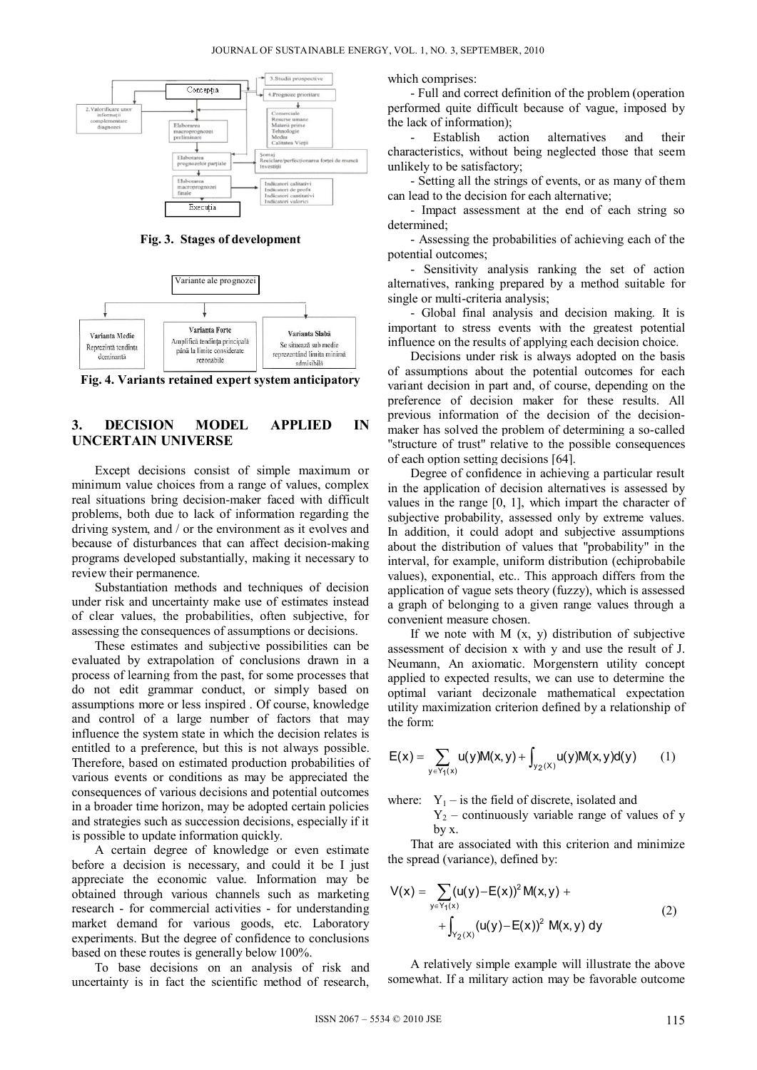

**Fig. 3. Stages of development** 



**Fig. 4. Variants retained expert system anticipatory** 

## **3. DECISION MODEL APPLIED IN UNCERTAIN UNIVERSE**

Except decisions consist of simple maximum or minimum value choices from a range of values, complex real situations bring decision-maker faced with difficult problems, both due to lack of information regarding the driving system, and / or the environment as it evolves and because of disturbances that can affect decision-making programs developed substantially, making it necessary to review their permanence.

Substantiation methods and techniques of decision under risk and uncertainty make use of estimates instead of clear values, the probabilities, often subjective, for assessing the consequences of assumptions or decisions.

These estimates and subjective possibilities can be evaluated by extrapolation of conclusions drawn in a process of learning from the past, for some processes that do not edit grammar conduct, or simply based on assumptions more or less inspired . Of course, knowledge and control of a large number of factors that may influence the system state in which the decision relates is entitled to a preference, but this is not always possible. Therefore, based on estimated production probabilities of various events or conditions as may be appreciated the consequences of various decisions and potential outcomes in a broader time horizon, may be adopted certain policies and strategies such as succession decisions, especially if it is possible to update information quickly.

A certain degree of knowledge or even estimate before a decision is necessary, and could it be I just appreciate the economic value. Information may be obtained through various channels such as marketing research - for commercial activities - for understanding market demand for various goods, etc. Laboratory experiments. But the degree of confidence to conclusions based on these routes is generally below 100%.

To base decisions on an analysis of risk and uncertainty is in fact the scientific method of research, which comprises:

- Full and correct definition of the problem (operation performed quite difficult because of vague, imposed by the lack of information);

Establish action alternatives and their characteristics, without being neglected those that seem unlikely to be satisfactory;

- Setting all the strings of events, or as many of them can lead to the decision for each alternative;

- Impact assessment at the end of each string so determined;

- Assessing the probabilities of achieving each of the potential outcomes;

- Sensitivity analysis ranking the set of action alternatives, ranking prepared by a method suitable for single or multi-criteria analysis;

- Global final analysis and decision making. It is important to stress events with the greatest potential influence on the results of applying each decision choice.

Decisions under risk is always adopted on the basis of assumptions about the potential outcomes for each variant decision in part and, of course, depending on the preference of decision maker for these results. All previous information of the decision of the decisionmaker has solved the problem of determining a so-called "structure of trust" relative to the possible consequences of each option setting decisions [64].

Degree of confidence in achieving a particular result in the application of decision alternatives is assessed by values in the range [0, 1], which impart the character of subjective probability, assessed only by extreme values. In addition, it could adopt and subjective assumptions about the distribution of values that "probability" in the interval, for example, uniform distribution (echiprobabile values), exponential, etc.. This approach differs from the application of vague sets theory (fuzzy), which is assessed a graph of belonging to a given range values through a convenient measure chosen.

If we note with  $M(x, y)$  distribution of subjective assessment of decision x with y and use the result of J. Neumann, An axiomatic. Morgenstern utility concept applied to expected results, we can use to determine the optimal variant decizonale mathematical expectation utility maximization criterion defined by a relationship of the form:

$$
E(x) = \sum_{y \in Y_1(x)} u(y)M(x,y) + \int_{y_2(x)} u(y)M(x,y)d(y) \qquad (1)
$$

where:  $Y_1$  – is the field of discrete, isolated and

 $Y_2$  – continuously variable range of values of y by x.

That are associated with this criterion and minimize the spread (variance), defined by:

$$
V(x) = \sum_{y \in Y_1(x)} (u(y) - E(x))^2 M(x, y) +
$$
  
+ 
$$
\int_{Y_2(x)} (u(y) - E(x))^2 M(x, y) dy
$$
 (2)

A relatively simple example will illustrate the above somewhat. If a military action may be favorable outcome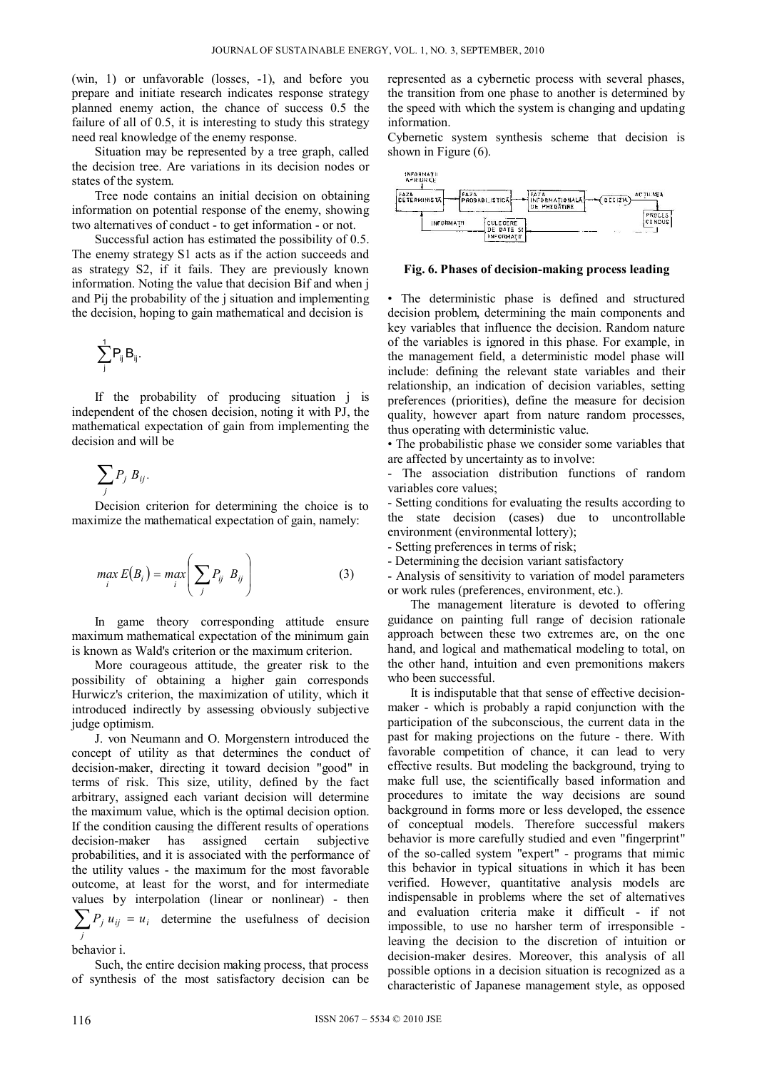(win, 1) or unfavorable (losses, -1), and before you prepare and initiate research indicates response strategy planned enemy action, the chance of success 0.5 the failure of all of 0.5, it is interesting to study this strategy need real knowledge of the enemy response.

Situation may be represented by a tree graph, called the decision tree. Are variations in its decision nodes or states of the system.

Tree node contains an initial decision on obtaining information on potential response of the enemy, showing two alternatives of conduct - to get information - or not.

Successful action has estimated the possibility of 0.5. The enemy strategy S1 acts as if the action succeeds and as strategy S2, if it fails. They are previously known information. Noting the value that decision Bif and when j and Pij the probability of the j situation and implementing the decision, hoping to gain mathematical and decision is

$$
\sum_j^1 P_{ij} \, B_{ij}.
$$

If the probability of producing situation j is independent of the chosen decision, noting it with PJ, the mathematical expectation of gain from implementing the decision and will be

$$
\sum_j P_j B_{ij}.
$$

Decision criterion for determining the choice is to maximize the mathematical expectation of gain, namely:

$$
\max_{i} E(B_i) = \max_{i} \left( \sum_{j} P_{ij} B_{ij} \right) \tag{3}
$$

In game theory corresponding attitude ensure maximum mathematical expectation of the minimum gain is known as Wald's criterion or the maximum criterion.

More courageous attitude, the greater risk to the possibility of obtaining a higher gain corresponds Hurwicz's criterion, the maximization of utility, which it introduced indirectly by assessing obviously subjective judge optimism.

J. von Neumann and O. Morgenstern introduced the concept of utility as that determines the conduct of decision-maker, directing it toward decision "good" in terms of risk. This size, utility, defined by the fact arbitrary, assigned each variant decision will determine the maximum value, which is the optimal decision option. If the condition causing the different results of operations decision-maker has assigned certain subjective probabilities, and it is associated with the performance of the utility values - the maximum for the most favorable outcome, at least for the worst, and for intermediate values by interpolation (linear or nonlinear) - then  $\sum P_j u_{ij} = u_i$  determine the usefulness of decision *j*

## behavior i.

Such, the entire decision making process, that process of synthesis of the most satisfactory decision can be represented as a cybernetic process with several phases, the transition from one phase to another is determined by the speed with which the system is changing and updating information.

Cybernetic system synthesis scheme that decision is shown in Figure (6).



**Fig. 6. Phases of decision-making process leading** 

• The deterministic phase is defined and structured decision problem, determining the main components and key variables that influence the decision. Random nature of the variables is ignored in this phase. For example, in the management field, a deterministic model phase will include: defining the relevant state variables and their relationship, an indication of decision variables, setting preferences (priorities), define the measure for decision quality, however apart from nature random processes, thus operating with deterministic value.

• The probabilistic phase we consider some variables that are affected by uncertainty as to involve:

- The association distribution functions of random variables core values;

- Setting conditions for evaluating the results according to the state decision (cases) due to uncontrollable environment (environmental lottery);

- Setting preferences in terms of risk;

- Determining the decision variant satisfactory

- Analysis of sensitivity to variation of model parameters or work rules (preferences, environment, etc.).

The management literature is devoted to offering guidance on painting full range of decision rationale approach between these two extremes are, on the one hand, and logical and mathematical modeling to total, on the other hand, intuition and even premonitions makers who been successful.

It is indisputable that that sense of effective decisionmaker - which is probably a rapid conjunction with the participation of the subconscious, the current data in the past for making projections on the future - there. With favorable competition of chance, it can lead to very effective results. But modeling the background, trying to make full use, the scientifically based information and procedures to imitate the way decisions are sound background in forms more or less developed, the essence of conceptual models. Therefore successful makers behavior is more carefully studied and even "fingerprint" of the so-called system "expert" - programs that mimic this behavior in typical situations in which it has been verified. However, quantitative analysis models are indispensable in problems where the set of alternatives and evaluation criteria make it difficult - if not impossible, to use no harsher term of irresponsible leaving the decision to the discretion of intuition or decision-maker desires. Moreover, this analysis of all possible options in a decision situation is recognized as a characteristic of Japanese management style, as opposed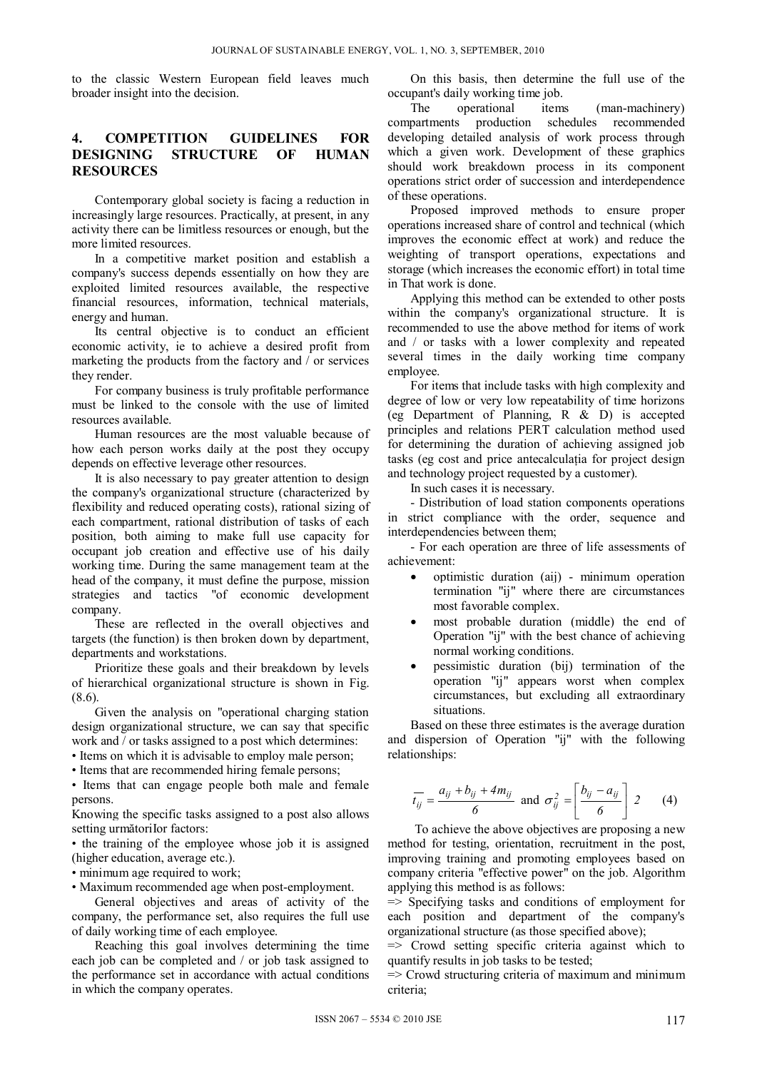to the classic Western European field leaves much broader insight into the decision.

# **4. COMPETITION GUIDELINES FOR DESIGNING STRUCTURE OF RESOURCES**

Contemporary global society is facing a reduction in increasingly large resources. Practically, at present, in any activity there can be limitless resources or enough, but the more limited resources.

In a competitive market position and establish a company's success depends essentially on how they are exploited limited resources available, the respective financial resources, information, technical materials, energy and human.

Its central objective is to conduct an efficient economic activity, ie to achieve a desired profit from marketing the products from the factory and / or services they render.

For company business is truly profitable performance must be linked to the console with the use of limited resources available.

Human resources are the most valuable because of how each person works daily at the post they occupy depends on effective leverage other resources.

It is also necessary to pay greater attention to design the company's organizational structure (characterized by flexibility and reduced operating costs), rational sizing of each compartment, rational distribution of tasks of each position, both aiming to make full use capacity for occupant job creation and effective use of his daily working time. During the same management team at the head of the company, it must define the purpose, mission strategies and tactics "of economic development company.

These are reflected in the overall objectives and targets (the function) is then broken down by department, departments and workstations.

Prioritize these goals and their breakdown by levels of hierarchical organizational structure is shown in Fig. (8.6).

Given the analysis on "operational charging station design organizational structure, we can say that specific work and / or tasks assigned to a post which determines:

• Items on which it is advisable to employ male person;

• Items that are recommended hiring female persons;

• Items that can engage people both male and female persons.

Knowing the specific tasks assigned to a post also allows setting următoriIor factors:

• the training of the employee whose job it is assigned (higher education, average etc.).

• minimum age required to work;

• Maximum recommended age when post-employment.

General objectives and areas of activity of the company, the performance set, also requires the full use of daily working time of each employee.

Reaching this goal involves determining the time each job can be completed and / or job task assigned to the performance set in accordance with actual conditions in which the company operates.

On this basis, then determine the full use of the occupant's daily working time job.

The operational items (man-machinery) compartments production schedules recommended developing detailed analysis of work process through which a given work. Development of these graphics should work breakdown process in its component operations strict order of succession and interdependence of these operations.

Proposed improved methods to ensure proper operations increased share of control and technical (which improves the economic effect at work) and reduce the weighting of transport operations, expectations and storage (which increases the economic effort) in total time in That work is done.

Applying this method can be extended to other posts within the company's organizational structure. It is recommended to use the above method for items of work and / or tasks with a lower complexity and repeated several times in the daily working time company employee.

For items that include tasks with high complexity and degree of low or very low repeatability of time horizons (eg Department of Planning, R & D) is accepted principles and relations PERT calculation method used for determining the duration of achieving assigned job tasks (eg cost and price antecalculaţia for project design and technology project requested by a customer).

In such cases it is necessary.

- Distribution of load station components operations in strict compliance with the order, sequence and interdependencies between them;

- For each operation are three of life assessments of achievement:

- optimistic duration (aij) minimum operation termination "ij" where there are circumstances most favorable complex.
- most probable duration (middle) the end of Operation "ij" with the best chance of achieving normal working conditions.
- pessimistic duration (bij) termination of the operation "ij" appears worst when complex circumstances, but excluding all extraordinary situations.

Based on these three estimates is the average duration and dispersion of Operation "ij" with the following relationships:

$$
\overline{t_{ij}} = \frac{a_{ij} + b_{ij} + 4m_{ij}}{6} \text{ and } \sigma_{ij}^2 = \left[\frac{b_{ij} - a_{ij}}{6}\right] 2 \qquad (4)
$$

To achieve the above objectives are proposing a new method for testing, orientation, recruitment in the post, improving training and promoting employees based on company criteria "effective power" on the job. Algorithm applying this method is as follows:

 $\Rightarrow$  Specifying tasks and conditions of employment for each position and department of the company's organizational structure (as those specified above);

 $\Rightarrow$  Crowd setting specific criteria against which to quantify results in job tasks to be tested;

 $\Rightarrow$  Crowd structuring criteria of maximum and minimum criteria;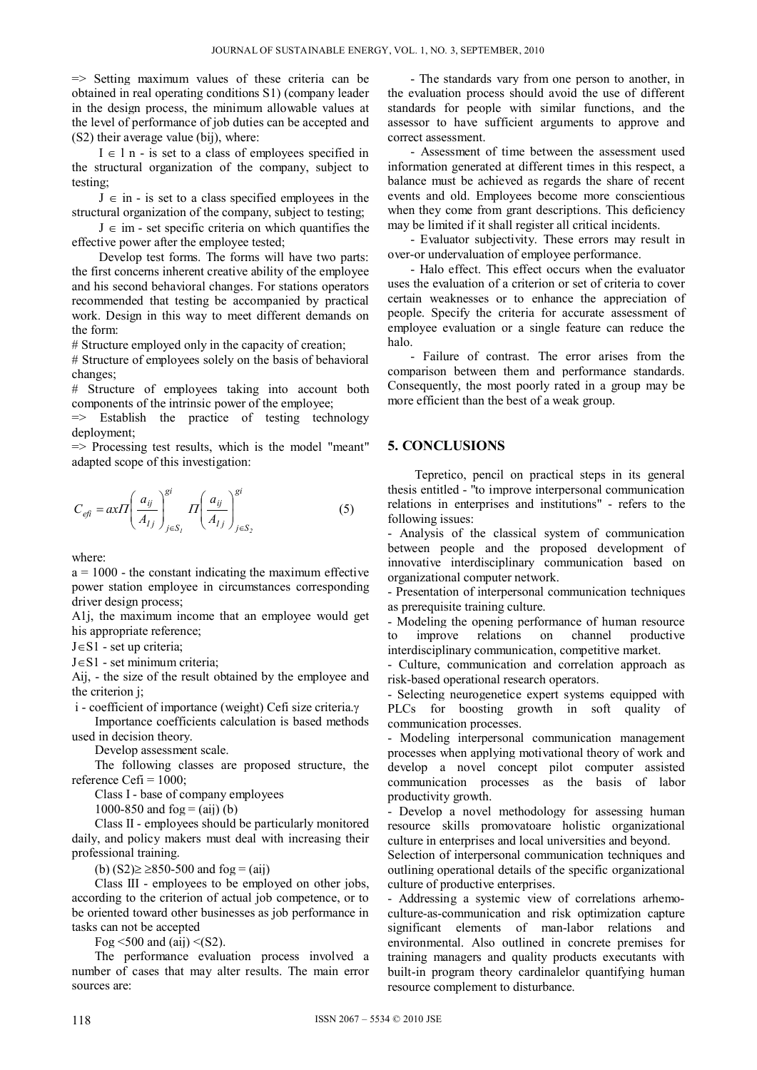$\Rightarrow$  Setting maximum values of these criteria can be obtained in real operating conditions S1) (company leader in the design process, the minimum allowable values at the level of performance of job duties can be accepted and (S2) their average value (bij), where:

 $I \in l$  n - is set to a class of employees specified in the structural organization of the company, subject to testing;

 $J \in \mathbb{R}$  in - is set to a class specified employees in the structural organization of the company, subject to testing;

 $J \in im$  - set specific criteria on which quantifies the effective power after the employee tested;

Develop test forms. The forms will have two parts: the first concerns inherent creative ability of the employee and his second behavioral changes. For stations operators recommended that testing be accompanied by practical work. Design in this way to meet different demands on the form:

# Structure employed only in the capacity of creation;

# Structure of employees solely on the basis of behavioral changes;

# Structure of employees taking into account both components of the intrinsic power of the employee;

 $\Rightarrow$  Establish the practice of testing technology deployment;

 $\Rightarrow$  Processing test results, which is the model "meant" adapted scope of this investigation:

$$
C_{\text{eff}} = axH \left(\frac{a_{ij}}{A_{lj}}\right)_{j \in S_l}^{gi} H \left(\frac{a_{ij}}{A_{lj}}\right)_{j \in S_2}^{gi} \tag{5}
$$

where:

 $a = 1000$  - the constant indicating the maximum effective power station employee in circumstances corresponding driver design process;

A1j, the maximum income that an employee would get his appropriate reference;

 $J \in S1$  - set up criteria;

 $J \in S1$  - set minimum criteria;

Aij, - the size of the result obtained by the employee and the criterion j;

 $i$  - coefficient of importance (weight) Cefi size criteria. $\gamma$ 

Importance coefficients calculation is based methods used in decision theory.

Develop assessment scale.

The following classes are proposed structure, the reference Cefi =  $1000$ ;

Class I - base of company employees

1000-850 and  $f \circ g = (aij)$  (b)

Class II - employees should be particularly monitored daily, and policy makers must deal with increasing their professional training.

(b)  $(S2) \ge 850-500$  and  $f \circ g = (aij)$ 

Class III - employees to be employed on other jobs, according to the criterion of actual job competence, or to be oriented toward other businesses as job performance in tasks can not be accepted

Fog  $\leq$  500 and (aij)  $\leq$ (S2).

The performance evaluation process involved a number of cases that may alter results. The main error sources are:

- The standards vary from one person to another, in the evaluation process should avoid the use of different standards for people with similar functions, and the assessor to have sufficient arguments to approve and correct assessment.

- Assessment of time between the assessment used information generated at different times in this respect, a balance must be achieved as regards the share of recent events and old. Employees become more conscientious when they come from grant descriptions. This deficiency may be limited if it shall register all critical incidents.

- Evaluator subjectivity. These errors may result in over-or undervaluation of employee performance.

- Halo effect. This effect occurs when the evaluator uses the evaluation of a criterion or set of criteria to cover certain weaknesses or to enhance the appreciation of people. Specify the criteria for accurate assessment of employee evaluation or a single feature can reduce the halo.

- Failure of contrast. The error arises from the comparison between them and performance standards. Consequently, the most poorly rated in a group may be more efficient than the best of a weak group.

### **5. CONCLUSIONS**

 Tepretico, pencil on practical steps in its general thesis entitled - "to improve interpersonal communication relations in enterprises and institutions" - refers to the following issues:

- Analysis of the classical system of communication between people and the proposed development of innovative interdisciplinary communication based on organizational computer network.

- Presentation of interpersonal communication techniques as prerequisite training culture.

- Modeling the opening performance of human resource to improve relations on channel productive interdisciplinary communication, competitive market.

- Culture, communication and correlation approach as risk-based operational research operators.

- Selecting neurogenetice expert systems equipped with PLCs for boosting growth in soft quality of communication processes.

- Modeling interpersonal communication management processes when applying motivational theory of work and develop a novel concept pilot computer assisted communication processes as the basis of labor productivity growth.

- Develop a novel methodology for assessing human resource skills promovatoare holistic organizational culture in enterprises and local universities and beyond.

Selection of interpersonal communication techniques and outlining operational details of the specific organizational culture of productive enterprises.

- Addressing a systemic view of correlations arhemoculture-as-communication and risk optimization capture significant elements of man-labor relations and environmental. Also outlined in concrete premises for training managers and quality products executants with built-in program theory cardinalelor quantifying human resource complement to disturbance.